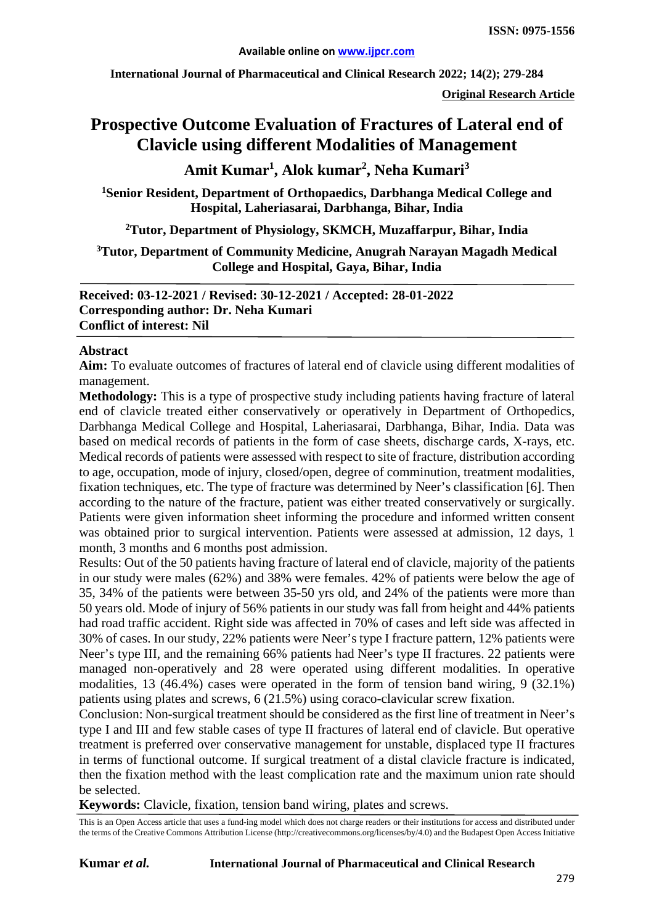**International Journal of Pharmaceutical and Clinical Research 2022; 14(2); 279-284**

**Original Research Article**

# **Prospective Outcome Evaluation of Fractures of Lateral end of Clavicle using different Modalities of Management**

**Amit Kumar1 , Alok kumar2 , Neha Kumari<sup>3</sup>**

**1Senior Resident, Department of Orthopaedics, Darbhanga Medical College and Hospital, Laheriasarai, Darbhanga, Bihar, India**

**2 Tutor, Department of Physiology, SKMCH, Muzaffarpur, Bihar, India**

#### **3 Tutor, Department of Community Medicine, Anugrah Narayan Magadh Medical College and Hospital, Gaya, Bihar, India**

**Received: 03-12-2021 / Revised: 30-12-2021 / Accepted: 28-01-2022 Corresponding author: Dr. Neha Kumari Conflict of interest: Nil**

#### **Abstract**

**Aim:** To evaluate outcomes of fractures of lateral end of clavicle using different modalities of management.

**Methodology:** This is a type of prospective study including patients having fracture of lateral end of clavicle treated either conservatively or operatively in Department of Orthopedics, Darbhanga Medical College and Hospital, Laheriasarai, Darbhanga, Bihar, India. Data was based on medical records of patients in the form of case sheets, discharge cards, X-rays, etc. Medical records of patients were assessed with respect to site of fracture, distribution according to age, occupation, mode of injury, closed/open, degree of comminution, treatment modalities, fixation techniques, etc. The type of fracture was determined by Neer's classification [6]. Then according to the nature of the fracture, patient was either treated conservatively or surgically. Patients were given information sheet informing the procedure and informed written consent was obtained prior to surgical intervention. Patients were assessed at admission, 12 days, 1 month, 3 months and 6 months post admission.

Results: Out of the 50 patients having fracture of lateral end of clavicle, majority of the patients in our study were males (62%) and 38% were females. 42% of patients were below the age of 35, 34% of the patients were between 35-50 yrs old, and 24% of the patients were more than 50 years old. Mode of injury of 56% patients in our study was fall from height and 44% patients had road traffic accident. Right side was affected in 70% of cases and left side was affected in 30% of cases. In our study, 22% patients were Neer's type I fracture pattern, 12% patients were Neer's type III, and the remaining 66% patients had Neer's type II fractures. 22 patients were managed non-operatively and 28 were operated using different modalities. In operative modalities, 13 (46.4%) cases were operated in the form of tension band wiring, 9 (32.1%) patients using plates and screws, 6 (21.5%) using coraco-clavicular screw fixation.

Conclusion: Non-surgical treatment should be considered as the first line of treatment in Neer's type I and III and few stable cases of type II fractures of lateral end of clavicle. But operative treatment is preferred over conservative management for unstable, displaced type II fractures in terms of functional outcome. If surgical treatment of a distal clavicle fracture is indicated, then the fixation method with the least complication rate and the maximum union rate should be selected.

**Keywords:** Clavicle, fixation, tension band wiring, plates and screws.

This is an Open Access article that uses a fund-ing model which does not charge readers or their institutions for access and distributed under the terms of the Creative Commons Attribution License (http://creativecommons.org/licenses/by/4.0) and the Budapest Open Access Initiative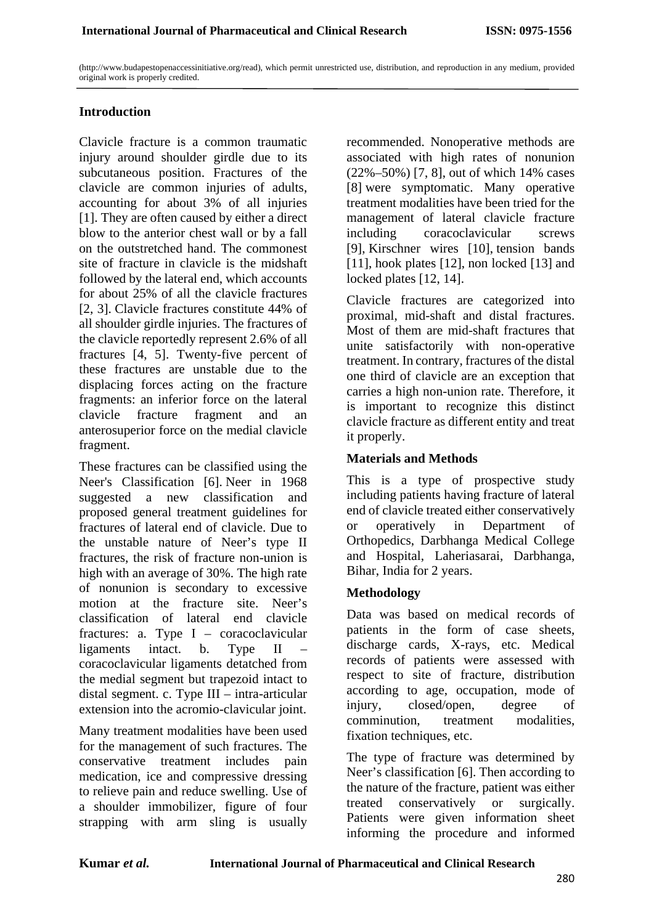(http://www.budapestopenaccessinitiative.org/read), which permit unrestricted use, distribution, and reproduction in any medium, provided original work is properly credited.

#### **Introduction**

Clavicle fracture is a common traumatic injury around shoulder girdle due to its subcutaneous position. Fractures of the clavicle are common injuries of adults, accounting for about 3% of all injuries [1]. They are often caused by either a direct blow to the anterior chest wall or by a fall on the outstretched hand. The commonest site of fracture in clavicle is the midshaft followed by the lateral end, which accounts for about 25% of all the clavicle fractures [2, 3]. Clavicle fractures constitute 44% of all shoulder girdle injuries. The fractures of the clavicle reportedly represent 2.6% of all fractures [4, 5]. Twenty-five percent of these fractures are unstable due to the displacing forces acting on the fracture fragments: an inferior force on the lateral clavicle fracture fragment and an anterosuperior force on the medial clavicle fragment.

These fractures can be classified using the Neer's Classification [6]. Neer in 1968 suggested a new classification and proposed general treatment guidelines for fractures of lateral end of clavicle. Due to the unstable nature of Neer's type II fractures, the risk of fracture non-union is high with an average of 30%. The high rate of nonunion is secondary to excessive motion at the fracture site. Neer's classification of lateral end clavicle fractures: a. Type I – coracoclavicular ligaments intact. b. Type II – coracoclavicular ligaments detatched from the medial segment but trapezoid intact to distal segment. c. Type III – intra-articular extension into the acromio-clavicular joint.

Many treatment modalities have been used for the management of such fractures. The conservative treatment includes pain medication, ice and compressive dressing to relieve pain and reduce swelling. Use of a shoulder immobilizer, figure of four strapping with arm sling is usually

recommended. Nonoperative methods are associated with high rates of nonunion (22%–50%) [7, 8], out of which 14% cases [8] were symptomatic. Many operative treatment modalities have been tried for the management of lateral clavicle fracture including coracoclavicular screws [9], Kirschner wires [10], tension bands [11], hook plates [12], non locked [13] and locked plates [12, 14].

Clavicle fractures are categorized into proximal, mid-shaft and distal fractures. Most of them are mid-shaft fractures that unite satisfactorily with non-operative treatment. In contrary, fractures of the distal one third of clavicle are an exception that carries a high non-union rate. Therefore, it is important to recognize this distinct clavicle fracture as different entity and treat it properly.

#### **Materials and Methods**

This is a type of prospective study including patients having fracture of lateral end of clavicle treated either conservatively or operatively in Department of Orthopedics, Darbhanga Medical College and Hospital, Laheriasarai, Darbhanga, Bihar, India for 2 years.

### **Methodology**

Data was based on medical records of patients in the form of case sheets, discharge cards, X-rays, etc. Medical records of patients were assessed with respect to site of fracture, distribution according to age, occupation, mode of injury, closed/open, degree of comminution, treatment modalities, fixation techniques, etc.

The type of fracture was determined by Neer's classification [6]. Then according to the nature of the fracture, patient was either treated conservatively or surgically. Patients were given information sheet informing the procedure and informed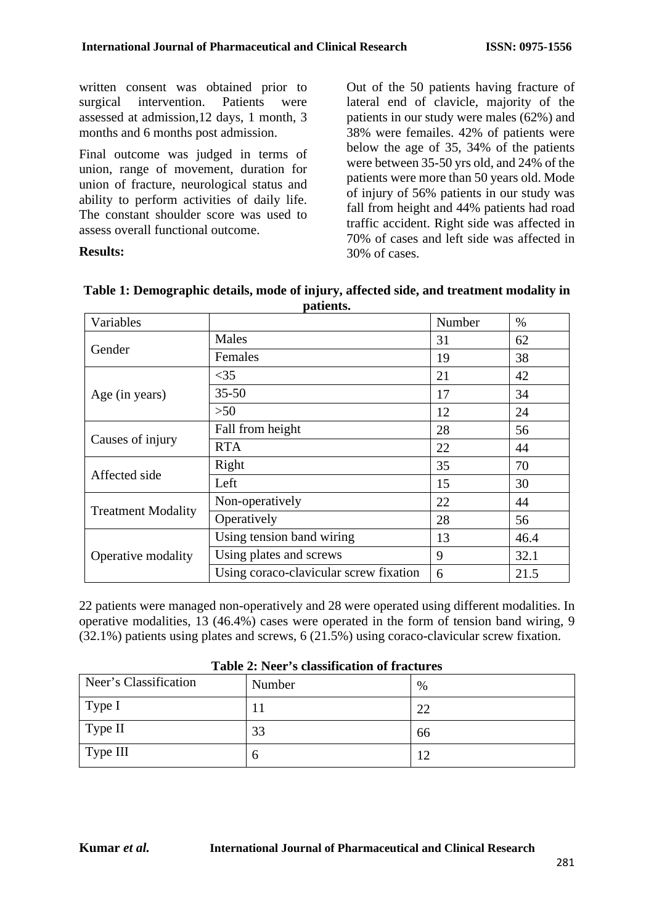written consent was obtained prior to surgical intervention. Patients were assessed at admission,12 days, 1 month, 3 months and 6 months post admission.

Final outcome was judged in terms of union, range of movement, duration for union of fracture, neurological status and ability to perform activities of daily life. The constant shoulder score was used to assess overall functional outcome.

#### **Results:**

Out of the 50 patients having fracture of lateral end of clavicle, majority of the patients in our study were males (62%) and 38% were femailes. 42% of patients were below the age of 35, 34% of the patients were between 35-50 yrs old, and 24% of the patients were more than 50 years old. Mode of injury of 56% patients in our study was fall from height and 44% patients had road traffic accident. Right side was affected in 70% of cases and left side was affected in 30% of cases.

| Variables                 |                                        | Number | $\%$ |
|---------------------------|----------------------------------------|--------|------|
| Gender                    | Males                                  | 31     | 62   |
|                           | Females                                | 19     | 38   |
| Age (in years)            | $<$ 35                                 | 21     | 42   |
|                           | $35 - 50$                              | 17     | 34   |
|                           | >50                                    | 12     | 24   |
| Causes of injury          | Fall from height                       | 28     | 56   |
|                           | <b>RTA</b>                             | 22     | 44   |
| Affected side             | Right                                  | 35     | 70   |
|                           | Left                                   | 15     | 30   |
| <b>Treatment Modality</b> | Non-operatively                        | 22     | 44   |
|                           | Operatively                            | 28     | 56   |
| Operative modality        | Using tension band wiring              | 13     | 46.4 |
|                           | Using plates and screws                | 9      | 32.1 |
|                           | Using coraco-clavicular screw fixation | 6      | 21.5 |

| Table 1: Demographic details, mode of injury, affected side, and treatment modality in |
|----------------------------------------------------------------------------------------|
| patients.                                                                              |

22 patients were managed non-operatively and 28 were operated using different modalities. In operative modalities, 13 (46.4%) cases were operated in the form of tension band wiring, 9 (32.1%) patients using plates and screws, 6 (21.5%) using coraco-clavicular screw fixation.

| Table 2: Ticel & chassification of fractures |        |      |  |
|----------------------------------------------|--------|------|--|
| Neer's Classification                        | Number | $\%$ |  |
| Type I                                       |        | 22   |  |
| $\vert$ Type II                              | 33     | 66   |  |
| $\vert$ Type III                             | O      | 12   |  |

#### **Table 2: Neer's classification of fractures**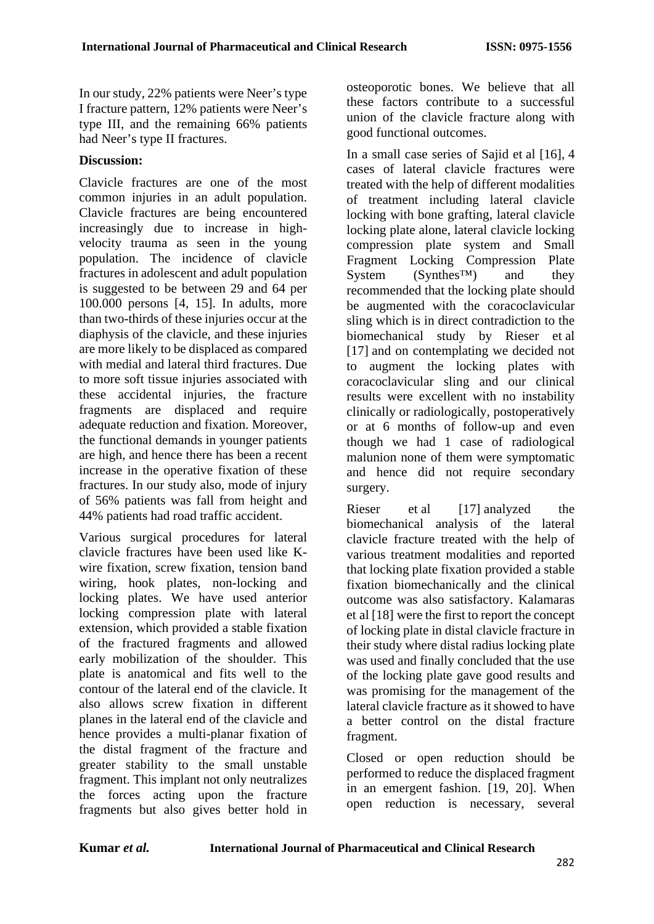In our study, 22% patients were Neer's type I fracture pattern, 12% patients were Neer's type III, and the remaining 66% patients had Neer's type II fractures.

## **Discussion:**

Clavicle fractures are one of the most common injuries in an adult population. Clavicle fractures are being encountered increasingly due to increase in highvelocity trauma as seen in the young population. The incidence of clavicle fractures in adolescent and adult population is suggested to be between 29 and 64 per 100.000 persons [4, 15]. In adults, more than two-thirds of these injuries occur at the diaphysis of the clavicle, and these injuries are more likely to be displaced as compared with medial and lateral third fractures. Due to more soft tissue injuries associated with these accidental injuries, the fracture fragments are displaced and require adequate reduction and fixation. Moreover, the functional demands in younger patients are high, and hence there has been a recent increase in the operative fixation of these fractures. In our study also, mode of injury of 56% patients was fall from height and 44% patients had road traffic accident.

Various surgical procedures for lateral clavicle fractures have been used like Kwire fixation, screw fixation, tension band wiring, hook plates, non-locking and locking plates. We have used anterior locking compression plate with lateral extension, which provided a stable fixation of the fractured fragments and allowed early mobilization of the shoulder. This plate is anatomical and fits well to the contour of the lateral end of the clavicle. It also allows screw fixation in different planes in the lateral end of the clavicle and hence provides a multi-planar fixation of the distal fragment of the fracture and greater stability to the small unstable fragment. This implant not only neutralizes the forces acting upon the fracture fragments but also gives better hold in osteoporotic bones. We believe that all these factors contribute to a successful union of the clavicle fracture along with good functional outcomes.

In a small case series of Sajid et al [16], 4 cases of lateral clavicle fractures were treated with the help of different modalities of treatment including lateral clavicle locking with bone grafting, lateral clavicle locking plate alone, lateral clavicle locking compression plate system and Small Fragment Locking Compression Plate  $System$  (Synthes<sup>™)</sup> and they recommended that the locking plate should be augmented with the coracoclavicular sling which is in direct contradiction to the biomechanical study by Rieser et al [17] and on contemplating we decided not to augment the locking plates with coracoclavicular sling and our clinical results were excellent with no instability clinically or radiologically, postoperatively or at 6 months of follow-up and even though we had 1 case of radiological malunion none of them were symptomatic and hence did not require secondary surgery.

Rieser et al [17] analyzed the biomechanical analysis of the lateral clavicle fracture treated with the help of various treatment modalities and reported that locking plate fixation provided a stable fixation biomechanically and the clinical outcome was also satisfactory. Kalamaras et al [18] were the first to report the concept of locking plate in distal clavicle fracture in their study where distal radius locking plate was used and finally concluded that the use of the locking plate gave good results and was promising for the management of the lateral clavicle fracture as it showed to have a better control on the distal fracture fragment.

Closed or open reduction should be performed to reduce the displaced fragment in an emergent fashion. [19, 20]. When open reduction is necessary, several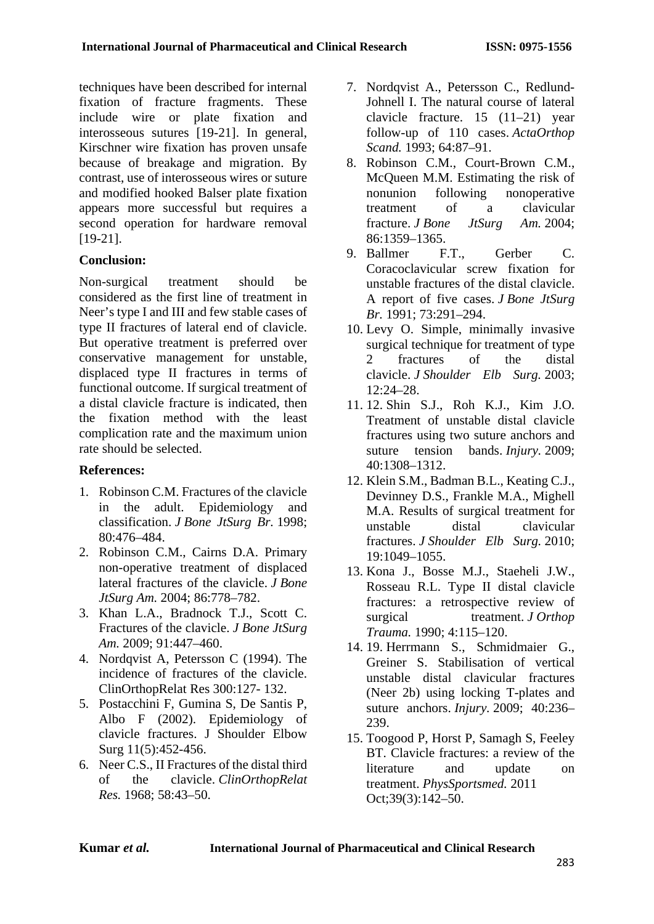techniques have been described for internal fixation of fracture fragments. These include wire or plate fixation and interosseous sutures [19-21]. In general, Kirschner wire fixation has proven unsafe because of breakage and migration. By contrast, use of interosseous wires or suture and modified hooked Balser plate fixation appears more successful but requires a second operation for hardware removal [19-21].

# **Conclusion:**

Non-surgical treatment should be considered as the first line of treatment in Neer's type I and III and few stable cases of type II fractures of lateral end of clavicle. But operative treatment is preferred over conservative management for unstable, displaced type II fractures in terms of functional outcome. If surgical treatment of a distal clavicle fracture is indicated, then the fixation method with the least complication rate and the maximum union rate should be selected.

## **References:**

- 1. Robinson C.M. Fractures of the clavicle in the adult. Epidemiology and classification. *J Bone JtSurg Br.* 1998; 80:476–484.
- 2. Robinson C.M., Cairns D.A. Primary non-operative treatment of displaced lateral fractures of the clavicle. *J Bone JtSurg Am.* 2004; 86:778–782.
- 3. Khan L.A., Bradnock T.J., Scott C. Fractures of the clavicle. *J Bone JtSurg Am.* 2009; 91:447–460.
- 4. Nordqvist A, Petersson C (1994). The incidence of fractures of the clavicle. ClinOrthopRelat Res 300:127- 132.
- 5. Postacchini F, Gumina S, De Santis P, Albo F (2002). Epidemiology of clavicle fractures. J Shoulder Elbow Surg 11(5):452-456.
- 6. Neer C.S., II Fractures of the distal third of the clavicle. *ClinOrthopRelat Res.* 1968; 58:43–50.
- 7. Nordqvist A., Petersson C., Redlund-Johnell I. The natural course of lateral clavicle fracture. 15 (11–21) year follow-up of 110 cases. *ActaOrthop Scand.* 1993; 64:87–91.
- 8. Robinson C.M., Court-Brown C.M., McQueen M.M. Estimating the risk of nonunion following nonoperative treatment of a clavicular fracture. *J Bone JtSurg Am.* 2004; 86:1359–1365.
- 9. Ballmer F.T., Gerber C. Coracoclavicular screw fixation for unstable fractures of the distal clavicle. A report of five cases. *J Bone JtSurg Br.* 1991; 73:291–294.
- 10. Levy O. Simple, minimally invasive surgical technique for treatment of type 2 fractures of the distal clavicle. *J Shoulder Elb Surg.* 2003; 12:24–28.
- 11. 12. Shin S.J., Roh K.J., Kim J.O. Treatment of unstable distal clavicle fractures using two suture anchors and suture tension bands. *Injury.* 2009; 40:1308–1312.
- 12. Klein S.M., Badman B.L., Keating C.J., Devinney D.S., Frankle M.A., Mighell M.A. Results of surgical treatment for unstable distal clavicular fractures. *J Shoulder Elb Surg.* 2010; 19:1049–1055.
- 13. Kona J., Bosse M.J., Staeheli J.W., Rosseau R.L. Type II distal clavicle fractures: a retrospective review of surgical treatment. *J Orthop Trauma.* 1990; 4:115–120.
- 14. 19. Herrmann S., Schmidmaier G., Greiner S. Stabilisation of vertical unstable distal clavicular fractures (Neer 2b) using locking T-plates and suture anchors. *Injury.* 2009; 40:236– 239.
- 15. Toogood P, Horst P, Samagh S, Feeley BT. Clavicle fractures: a review of the literature and update on treatment. *PhysSportsmed.* 2011 Oct;39(3):142–50.